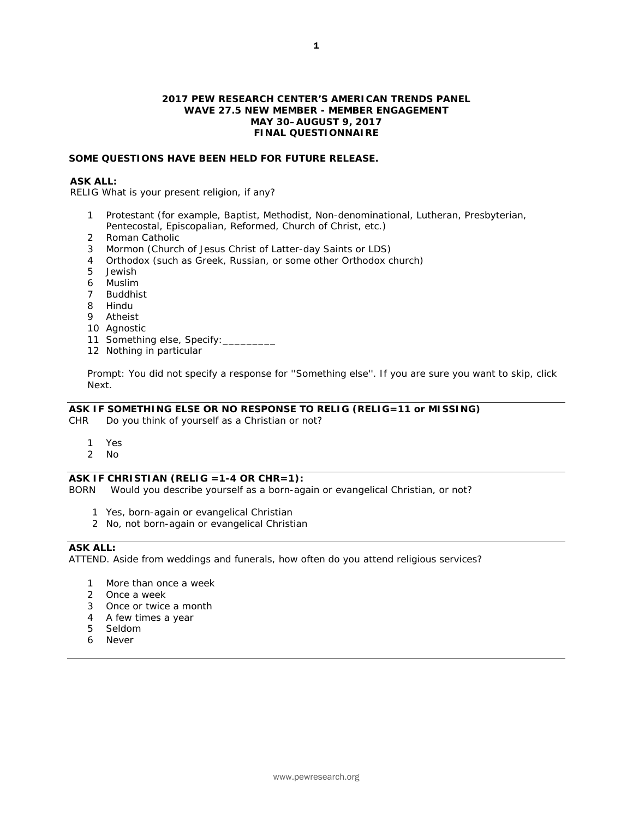#### **2017 PEW RESEARCH CENTER'S AMERICAN TRENDS PANEL WAVE 27.5 NEW MEMBER - MEMBER ENGAGEMENT MAY 30–AUGUST 9, 2017 FINAL QUESTIONNAIRE**

#### **SOME QUESTIONS HAVE BEEN HELD FOR FUTURE RELEASE.**

# **ASK ALL:**

RELIG What is your present religion, if any?

- 1 Protestant (for example, Baptist, Methodist, Non-denominational, Lutheran, Presbyterian, Pentecostal, Episcopalian, Reformed, Church of Christ, etc.)
- 2 Roman Catholic
- 3 Mormon (Church of Jesus Christ of Latter-day Saints or LDS)
- 4 Orthodox (such as Greek, Russian, or some other Orthodox church)
- 5 Jewish
- 6 Muslim
- 7 Buddhist
- 8 Hindu
- 9 Atheist
- 10 Agnostic
- 11 Something else, Specify:
- 12 Nothing in particular

*Prompt: You did not specify a response for ''Something else''. If you are sure you want to skip, click Next.*

# **ASK IF SOMETHING ELSE OR NO RESPONSE TO RELIG (RELIG=11 or MISSING)**

CHR Do you think of yourself as a Christian or not?

- 1 Yes
- 2 No

# **ASK IF CHRISTIAN (RELIG =1-4 OR CHR=1):**

BORN Would you describe yourself as a born-again or evangelical Christian, or not?

- 1 Yes, born-again or evangelical Christian
- 2 No, not born-again or evangelical Christian

# **ASK ALL:**

ATTEND. Aside from weddings and funerals, how often do you attend religious services?

- 1 More than once a week
- 2 Once a week
- 3 Once or twice a month
- 4 A few times a year
- 5 Seldom
- 6 Never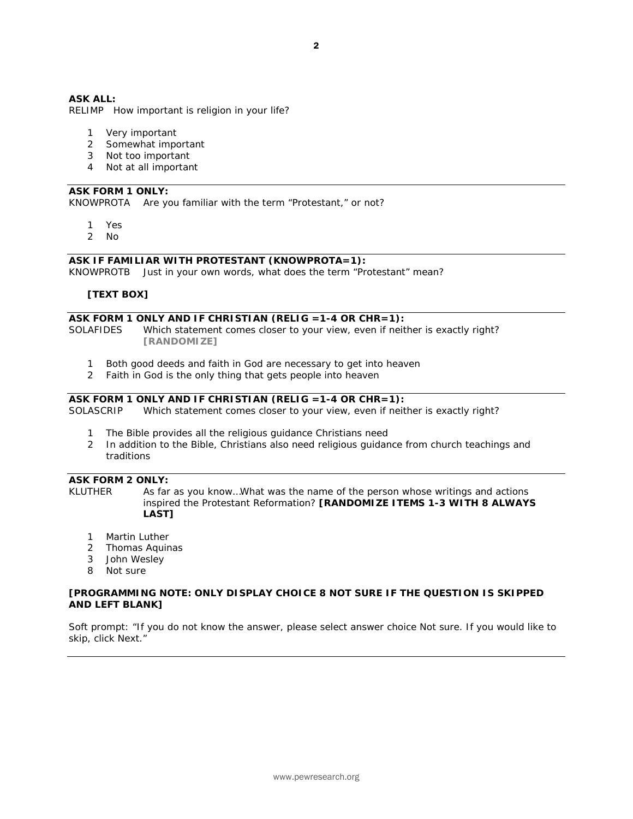# **ASK ALL:**

RELIMP How important is religion in your life?

- 1 Very important
- 2 Somewhat important
- 3 Not too important
- 4 Not at all important

# **ASK FORM 1 ONLY:**

KNOWPROTA Are you familiar with the term "Protestant," or not?

- 1 Yes
- 2 No

#### **ASK IF FAMILIAR WITH PROTESTANT (KNOWPROTA=1):**

KNOWPROTB Just in your own words, what does the term "Protestant" mean?

#### **[TEXT BOX]**

# **ASK FORM 1 ONLY AND IF CHRISTIAN (RELIG =1-4 OR CHR=1):**

SOLAFIDES Which statement comes closer to your view, even if neither is exactly right? **[RANDOMIZE]**

- 1 Both good deeds and faith in God are necessary to get into heaven
- 2 Faith in God is the only thing that gets people into heaven

# **ASK FORM 1 ONLY AND IF CHRISTIAN (RELIG =1-4 OR CHR=1):**<br>SOLASCRIP Which statement comes closer to your view, even if neit

Which statement comes closer to your view, even if neither is exactly right?

- 1 The Bible provides all the religious guidance Christians need
- 2 In addition to the Bible, Christians also need religious guidance from church teachings and traditions

# **ASK FORM 2 ONLY:**

KLUTHER As far as you know...What was the name of the person whose writings and actions inspired the Protestant Reformation? **[RANDOMIZE ITEMS 1-3 WITH 8 ALWAYS LAST]** 

- 1 Martin Luther
- 2 Thomas Aquinas
- 3 John Wesley
- 8 Not sure

#### **[PROGRAMMING NOTE: ONLY DISPLAY CHOICE 8 NOT SURE IF THE QUESTION IS SKIPPED AND LEFT BLANK]**

*Soft prompt: "If you do not know the answer, please select answer choice Not sure. If you would like to skip, click Next."*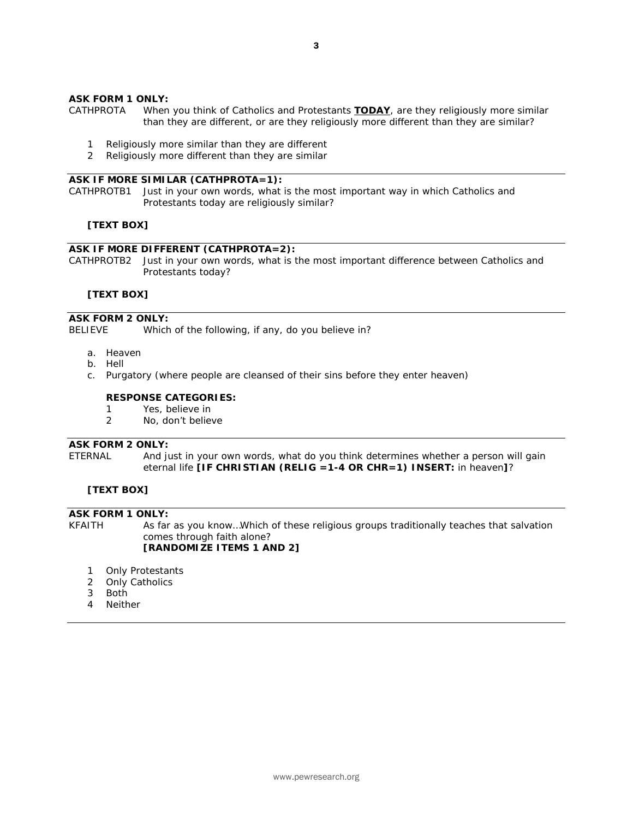#### **ASK FORM 1 ONLY:**

- CATHPROTA When you think of Catholics and Protestants *TODAY*, are they religiously more similar than they are different, or are they religiously more different than they are similar?
	- 1 Religiously more similar than they are different
	- 2 Religiously more different than they are similar

#### **ASK IF MORE SIMILAR (CATHPROTA=1):**

CATHPROTB1 Just in your own words, what is the most important way in which Catholics and Protestants today are religiously similar?

#### **[TEXT BOX]**

#### **ASK IF MORE DIFFERENT (CATHPROTA=2):**

CATHPROTB2 Just in your own words, what is the most important difference between Catholics and Protestants today?

#### **[TEXT BOX]**

# **ASK FORM 2 ONLY:**

BELIEVE Which of the following, if any, do you believe in?

- a. Heaven
- b. Hell
- c. Purgatory (where people are cleansed of their sins before they enter heaven)

# **RESPONSE CATEGORIES:**

- 1 Yes, believe in
- 2 No, don't believe

#### **ASK FORM 2 ONLY:**

ETERNAL And just in your own words, what do you think determines whether a person will gain eternal life **[IF CHRISTIAN (RELIG =1-4 OR CHR=1) INSERT:** in heaven**]**?

# **[TEXT BOX]**

# **ASK FORM 1 ONLY:**

KFAITH As far as you know…Which of these religious groups traditionally teaches that salvation comes through faith alone? **[RANDOMIZE ITEMS 1 AND 2]**

- 1 Only Protestants
- 2 Only Catholics
- 3 Both
- 4 Neither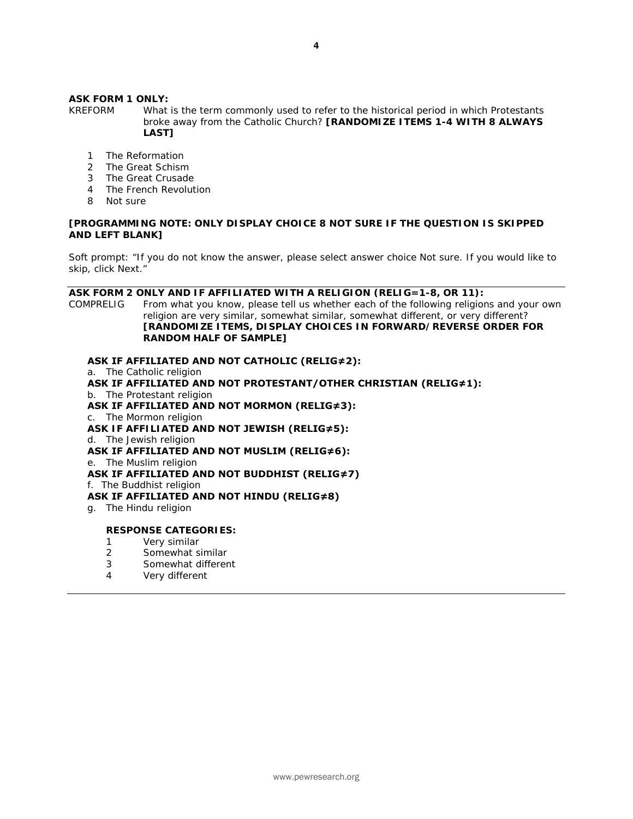# **ASK FORM 1 ONLY:**

KREFORM What is the term commonly used to refer to the historical period in which Protestants broke away from the Catholic Church? **[RANDOMIZE ITEMS 1-4 WITH 8 ALWAYS LAST]** 

- 1 The Reformation
- 2 The Great Schism
- 3 The Great Crusade
- 4 The French Revolution
- 8 Not sure

#### **[PROGRAMMING NOTE: ONLY DISPLAY CHOICE 8 NOT SURE IF THE QUESTION IS SKIPPED AND LEFT BLANK]**

*Soft prompt: "If you do not know the answer, please select answer choice Not sure. If you would like to skip, click Next."*

### **ASK FORM 2 ONLY AND IF AFFILIATED WITH A RELIGION (RELIG=1-8, OR 11):**

COMPRELIG From what you know, please tell us whether each of the following religions and your own religion are very similar, somewhat similar, somewhat different, or very different? **[RANDOMIZE ITEMS, DISPLAY CHOICES IN FORWARD/REVERSE ORDER FOR RANDOM HALF OF SAMPLE]**

# **ASK IF AFFILIATED AND NOT CATHOLIC (RELIG≠2):**

a. The Catholic religion

**ASK IF AFFILIATED AND NOT PROTESTANT/OTHER CHRISTIAN (RELIG≠1):** b. The Protestant religion

- **ASK IF AFFILIATED AND NOT MORMON (RELIG≠3):**
- c. The Mormon religion
- **ASK IF AFFILIATED AND NOT JEWISH (RELIG≠5):**
- d. The Jewish religion **ASK IF AFFILIATED AND NOT MUSLIM (RELIG≠6):**
- e. The Muslim religion
- **ASK IF AFFILIATED AND NOT BUDDHIST (RELIG≠7)**
- f. The Buddhist religion

# **ASK IF AFFILIATED AND NOT HINDU (RELIG≠8)**

g. The Hindu religion

# **RESPONSE CATEGORIES:**

- 1 Very similar<br>2 Somewhat s
- 2 Somewhat similar<br>3 Somewhat differer
- 3 Somewhat different
- 4 Very different